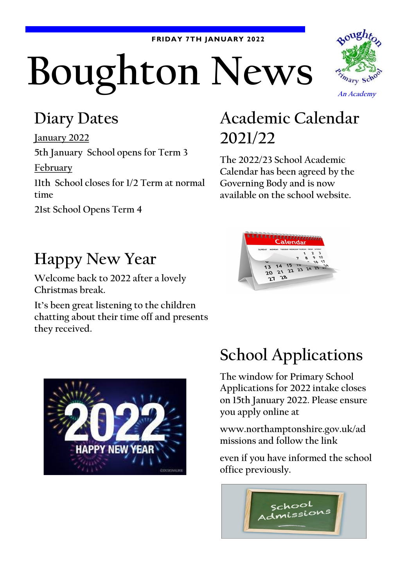#### **FRIDAY 7TH JANUARY 2022**

# **Boughton News**



#### **Diary Dates**

**January 2022 5th January School opens for Term 3**

**February**

**11th School closes for 1/2 Term at normal time**

**21st School Opens Term 4**

### **Academic Calendar 2021/22**

**The 2022/23 School Academic Calendar has been agreed by the Governing Body and is now available on the school website.**



#### **Happy New Year**

**Welcome back to 2022 after a lovely Christmas break.**

**It's been great listening to the children chatting about their time off and presents they received.**



# **School Applications**

**The window for Primary School Applications for 2022 intake closes on 15th January 2022. Please ensure you apply online at** 

**www.northamptonshire.gov.uk/ad missions and follow the link**

**even if you have informed the school office previously.**